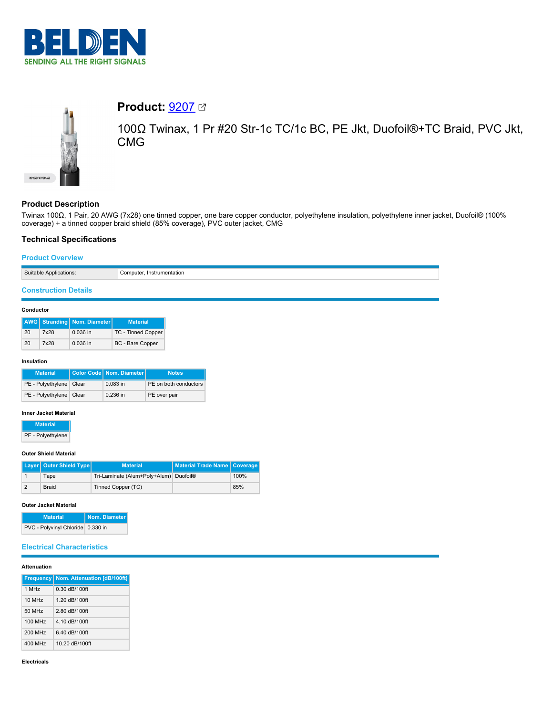



# **Product:** [9207](https://catalog.belden.com/index.cfm?event=pd&p=PF_9207&tab=downloads)

100Ω Twinax, 1 Pr #20 Str-1c TC/1c BC, PE Jkt, Duofoil®+TC Braid, PVC Jkt, CMG

# **Product Description**

Twinax 100Ω, 1 Pair, 20 AWG (7x28) one tinned copper, one bare copper conductor, polyethylene insulation, polyethylene inner jacket, Duofoil® (100% coverage) + a tinned copper braid shield (85% coverage), PVC outer jacket, CMG

# **Technical Specifications**

#### **Product Overview**

# **Construction Details**

#### **Conductor**

|    |      | <b>AWG</b> Stranding Nom. Diameter | <b>Material</b>           |
|----|------|------------------------------------|---------------------------|
| 20 | 7x28 | $0.036$ in                         | <b>TC - Tinned Copper</b> |
| 20 | 7x28 | $0.036$ in                         | BC - Bare Copper          |

#### **Insulation**

| <b>Material</b>           | Color Code   Nom. Diameter | <b>Notes</b>          |
|---------------------------|----------------------------|-----------------------|
| PE - Polyethylene   Clear | $0.083$ in                 | PE on both conductors |
| PE - Polyethylene   Clear | $0.236$ in                 | PE over pair          |

#### **Inner Jacket Material**

| <b>Material</b>   |
|-------------------|
| PE - Polyethylene |

#### **Outer Shield Material**

| Layer   Outer Shield Type | <b>Material</b>                        | Material Trade Name   Coverage |      |
|---------------------------|----------------------------------------|--------------------------------|------|
| Tape                      | Tri-Laminate (Alum+Poly+Alum) Duofoil® |                                | 100% |
| <b>Braid</b>              | Tinned Copper (TC)                     |                                | 85%  |

#### **Outer Jacket Material**

| <b>Material</b>                   | Nom. Diameter |
|-----------------------------------|---------------|
| PVC - Polyvinyl Chloride 0.330 in |               |

## **Electrical Characteristics**

#### **Attenuation**

| <b>Frequency</b>     | Nom. Attenuation [dB/100ft] |
|----------------------|-----------------------------|
| 1 MH <sub>z</sub>    | $0.30$ dB/100ft             |
| $10$ MH <sub>z</sub> | 1.20 dB/100ft               |
| 50 MHz               | 2 80 dB/100ft               |
| 100 MHz              | 4.10 dB/100ft               |
| 200 MHz              | 6.40 dB/100ft               |
| 400 MHz              | 10.20 dB/100ft              |